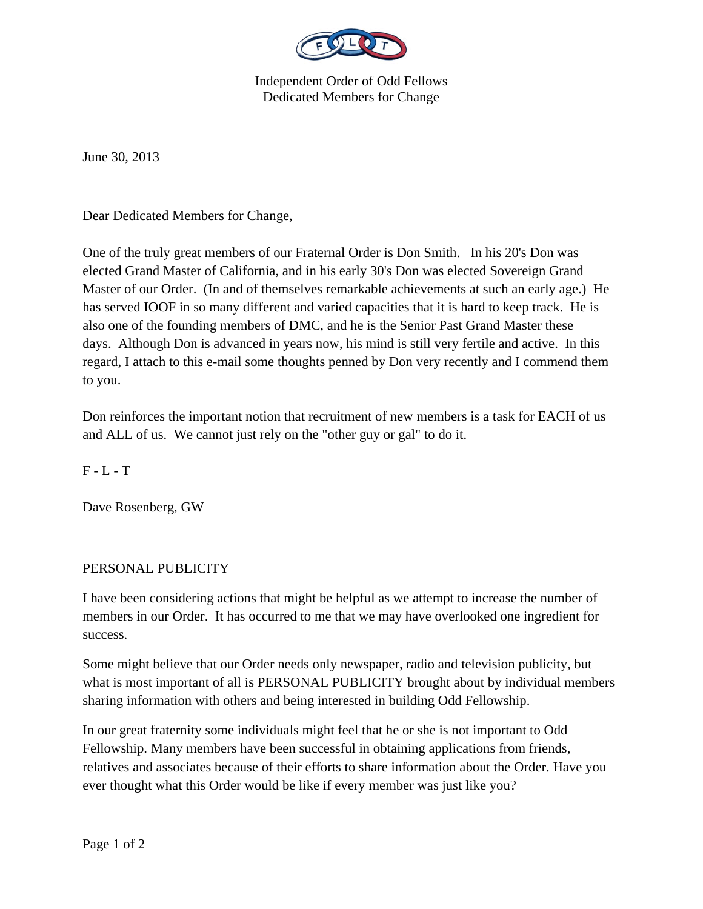

Independent Order of Odd Fellows Dedicated Members for Change

June 30, 2013

Dear Dedicated Members for Change,

One of the truly great members of our Fraternal Order is Don Smith. In his 20's Don was elected Grand Master of California, and in his early 30's Don was elected Sovereign Grand Master of our Order. (In and of themselves remarkable achievements at such an early age.) He has served IOOF in so many different and varied capacities that it is hard to keep track. He is also one of the founding members of DMC, and he is the Senior Past Grand Master these days. Although Don is advanced in years now, his mind is still very fertile and active. In this regard, I attach to this e-mail some thoughts penned by Don very recently and I commend them to you.

Don reinforces the important notion that recruitment of new members is a task for EACH of us and ALL of us. We cannot just rely on the "other guy or gal" to do it.

 $F - L - T$ 

Dave Rosenberg, GW

## PERSONAL PUBLICITY

I have been considering actions that might be helpful as we attempt to increase the number of members in our Order. It has occurred to me that we may have overlooked one ingredient for success.

Some might believe that our Order needs only newspaper, radio and television publicity, but what is most important of all is PERSONAL PUBLICITY brought about by individual members sharing information with others and being interested in building Odd Fellowship.

In our great fraternity some individuals might feel that he or she is not important to Odd Fellowship. Many members have been successful in obtaining applications from friends, relatives and associates because of their efforts to share information about the Order. Have you ever thought what this Order would be like if every member was just like you?